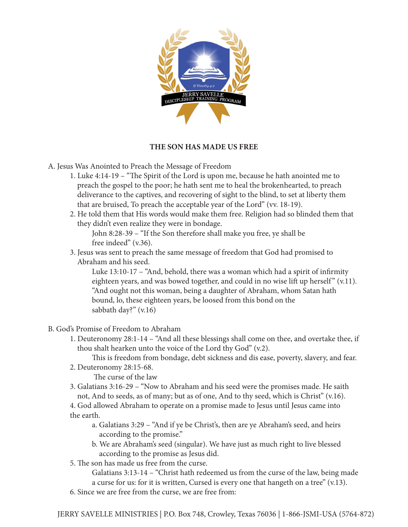

## **THE SON HAS MADE US FREE**

- A. Jesus Was Anointed to Preach the Message of Freedom
	- 1. Luke 4:14-19 "The Spirit of the Lord is upon me, because he hath anointed me to preach the gospel to the poor; he hath sent me to heal the brokenhearted, to preach deliverance to the captives, and recovering of sight to the blind, to set at liberty them that are bruised, To preach the acceptable year of the Lord" (vv. 18-19).
	- 2. He told them that His words would make them free. Religion had so blinded them that they didn't even realize they were in bondage.

 John 8:28-39 – "If the Son therefore shall make you free, ye shall be free indeed" (v.36).

3. Jesus was sent to preach the same message of freedom that God had promised to Abraham and his seed.

 Luke 13:10-17 – "And, behold, there was a woman which had a spirit of infirmity eighteen years, and was bowed together, and could in no wise lift up herself" (v.11). "And ought not this woman, being a daughter of Abraham, whom Satan hath bound, lo, these eighteen years, be loosed from this bond on the sabbath day?" (v.16)

- B. God's Promise of Freedom to Abraham
	- 1. Deuteronomy 28:1-14 "And all these blessings shall come on thee, and overtake thee, if thou shalt hearken unto the voice of the Lord thy God" (v.2).

This is freedom from bondage, debt sickness and dis ease, poverty, slavery, and fear.

2. Deuteronomy 28:15-68.

The curse of the law

3. Galatians 3:16-29 – "Now to Abraham and his seed were the promises made. He saith not, And to seeds, as of many; but as of one, And to thy seed, which is Christ" (v.16).

4. God allowed Abraham to operate on a promise made to Jesus until Jesus came into the earth.

- a. Galatians 3:29 "And if ye be Christ's, then are ye Abraham's seed, and heirs according to the promise."
- b. We are Abraham's seed (singular). We have just as much right to live blessed according to the promise as Jesus did.
- 5. The son has made us free from the curse.

 Galatians 3:13-14 – "Christ hath redeemed us from the curse of the law, being made a curse for us: for it is written, Cursed is every one that hangeth on a tree" (v.13).

6. Since we are free from the curse, we are free from: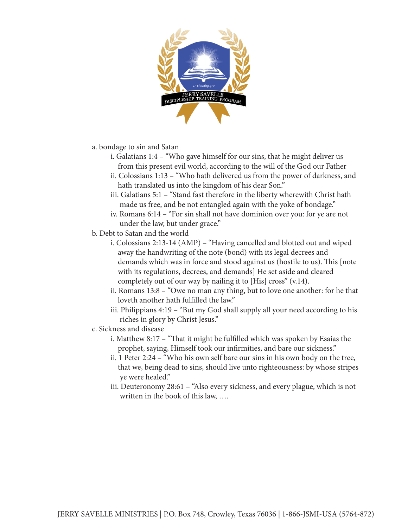

- a. bondage to sin and Satan
	- i. Galatians 1:4 "Who gave himself for our sins, that he might deliver us from this present evil world, according to the will of the God our Father
	- ii. Colossians 1:13 "Who hath delivered us from the power of darkness, and hath translated us into the kingdom of his dear Son."
	- iii. Galatians 5:1 "Stand fast therefore in the liberty wherewith Christ hath made us free, and be not entangled again with the yoke of bondage."
	- iv. Romans 6:14 "For sin shall not have dominion over you: for ye are not under the law, but under grace."
- b. Debt to Satan and the world
	- i. Colossians 2:13-14 (AMP) "Having cancelled and blotted out and wiped away the handwriting of the note (bond) with its legal decrees and demands which was in force and stood against us (hostile to us). This [note with its regulations, decrees, and demands] He set aside and cleared completely out of our way by nailing it to [His] cross" (v.14).
	- ii. Romans 13:8 "Owe no man any thing, but to love one another: for he that loveth another hath fulfilled the law."
	- iii. Philippians 4:19 "But my God shall supply all your need according to his riches in glory by Christ Jesus."
- c. Sickness and disease
	- i. Matthew 8:17 "That it might be fulfilled which was spoken by Esaias the prophet, saying, Himself took our infirmities, and bare our sickness."
	- ii. 1 Peter 2:24 "Who his own self bare our sins in his own body on the tree, that we, being dead to sins, should live unto righteousness: by whose stripes ye were healed."
	- iii. Deuteronomy 28:61 "Also every sickness, and every plague, which is not written in the book of this law, ….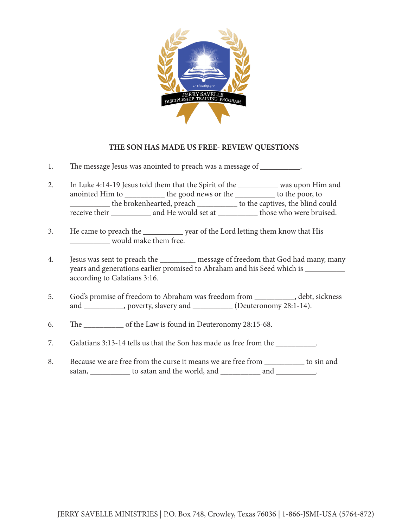

## **THE SON HAS MADE US FREE- REVIEW QUESTIONS**

- 1. The message Jesus was anointed to preach was a message of \_\_\_\_\_\_\_\_\_.
- 2. In Luke 4:14-19 Jesus told them that the Spirit of the \_\_\_\_\_\_\_\_\_\_ was upon Him and anointed Him to \_\_\_\_\_\_\_\_\_\_ the good news or the \_\_\_\_\_\_\_\_\_\_ to the poor, to \_\_\_\_\_\_\_\_\_\_ the brokenhearted, preach \_\_\_\_\_\_\_\_\_\_ to the captives, the blind could receive their \_\_\_\_\_\_\_\_\_\_ and He would set at \_\_\_\_\_\_\_\_\_\_\_ those who were bruised.
- 3. He came to preach the \_\_\_\_\_\_\_\_\_\_ year of the Lord letting them know that His would make them free.
- 4. Jesus was sent to preach the \_\_\_\_\_\_\_\_\_ message of freedom that God had many, many years and generations earlier promised to Abraham and his Seed which is \_\_\_\_\_\_\_\_\_\_ according to Galatians 3:16.
- 5. God's promise of freedom to Abraham was freedom from \_\_\_\_\_\_\_\_\_\_, debt, sickness and \_\_\_\_\_\_\_\_\_, poverty, slavery and \_\_\_\_\_\_\_\_\_\_ (Deuteronomy 28:1-14).
- 6. The \_\_\_\_\_\_\_\_\_\_ of the Law is found in Deuteronomy 28:15-68.
- 7. Galatians 3:13-14 tells us that the Son has made us free from the \_\_\_\_\_\_\_\_\_\_.
- 8. Because we are free from the curse it means we are free from \_\_\_\_\_\_\_\_\_\_ to sin and satan, \_\_\_\_\_\_\_\_\_\_\_ to satan and the world, and \_\_\_\_\_\_\_\_\_\_\_\_ and \_\_\_\_\_\_\_\_\_\_.